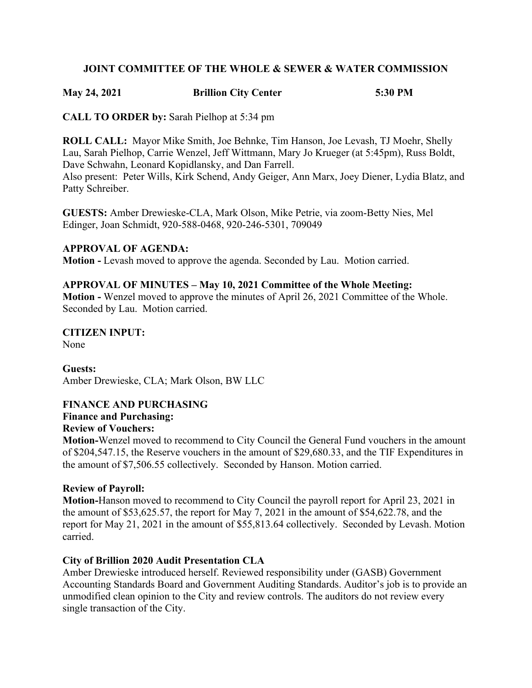#### **JOINT COMMITTEE OF THE WHOLE & SEWER & WATER COMMISSION**

#### **May 24, 2021 Brillion City Center 5:30 PM**

**CALL TO ORDER by:** Sarah Pielhop at 5:34 pm

**ROLL CALL:** Mayor Mike Smith, Joe Behnke, Tim Hanson, Joe Levash, TJ Moehr, Shelly Lau, Sarah Pielhop, Carrie Wenzel, Jeff Wittmann, Mary Jo Krueger (at 5:45pm), Russ Boldt, Dave Schwahn, Leonard Kopidlansky, and Dan Farrell. Also present: Peter Wills, Kirk Schend, Andy Geiger, Ann Marx, Joey Diener, Lydia Blatz, and Patty Schreiber.

**GUESTS:** Amber Drewieske-CLA, Mark Olson, Mike Petrie, via zoom-Betty Nies, Mel Edinger, Joan Schmidt, 920-588-0468, 920-246-5301, 709049

#### **APPROVAL OF AGENDA:**

**Motion -** Levash moved to approve the agenda. Seconded by Lau. Motion carried.

#### **APPROVAL OF MINUTES – May 10, 2021 Committee of the Whole Meeting:**

**Motion -** Wenzel moved to approve the minutes of April 26, 2021 Committee of the Whole. Seconded by Lau. Motion carried.

**CITIZEN INPUT:** None

**Guests:** Amber Drewieske, CLA; Mark Olson, BW LLC

#### **FINANCE AND PURCHASING**

## **Finance and Purchasing:**

#### **Review of Vouchers:**

**Motion-**Wenzel moved to recommend to City Council the General Fund vouchers in the amount of \$204,547.15, the Reserve vouchers in the amount of \$29,680.33, and the TIF Expenditures in the amount of \$7,506.55 collectively. Seconded by Hanson. Motion carried.

#### **Review of Payroll:**

**Motion-**Hanson moved to recommend to City Council the payroll report for April 23, 2021 in the amount of \$53,625.57, the report for May 7, 2021 in the amount of \$54,622.78, and the report for May 21, 2021 in the amount of \$55,813.64 collectively. Seconded by Levash. Motion carried.

#### **City of Brillion 2020 Audit Presentation CLA**

Amber Drewieske introduced herself. Reviewed responsibility under (GASB) Government Accounting Standards Board and Government Auditing Standards. Auditor's job is to provide an unmodified clean opinion to the City and review controls. The auditors do not review every single transaction of the City.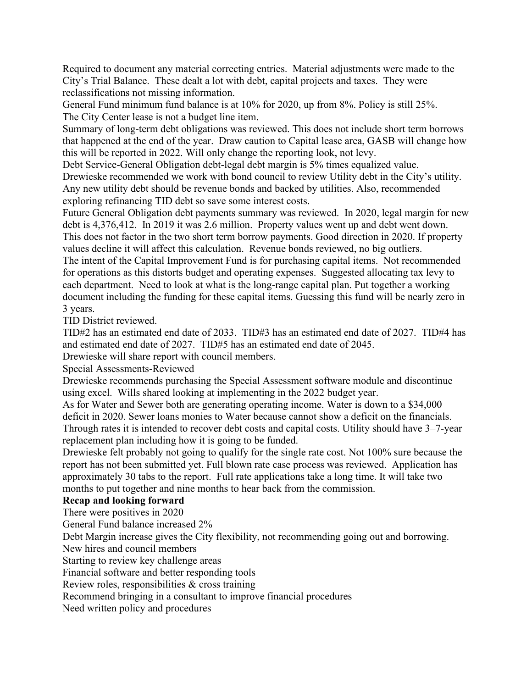Required to document any material correcting entries. Material adjustments were made to the City's Trial Balance. These dealt a lot with debt, capital projects and taxes. They were reclassifications not missing information.

General Fund minimum fund balance is at 10% for 2020, up from 8%. Policy is still 25%. The City Center lease is not a budget line item.

Summary of long-term debt obligations was reviewed. This does not include short term borrows that happened at the end of the year. Draw caution to Capital lease area, GASB will change how this will be reported in 2022. Will only change the reporting look, not levy.

Debt Service-General Obligation debt-legal debt margin is 5% times equalized value. Drewieske recommended we work with bond council to review Utility debt in the City's utility. Any new utility debt should be revenue bonds and backed by utilities. Also, recommended exploring refinancing TID debt so save some interest costs.

Future General Obligation debt payments summary was reviewed. In 2020, legal margin for new debt is 4,376,412. In 2019 it was 2.6 million. Property values went up and debt went down. This does not factor in the two short term borrow payments. Good direction in 2020. If property values decline it will affect this calculation. Revenue bonds reviewed, no big outliers. The intent of the Capital Improvement Fund is for purchasing capital items. Not recommended for operations as this distorts budget and operating expenses. Suggested allocating tax levy to each department. Need to look at what is the long-range capital plan. Put together a working document including the funding for these capital items. Guessing this fund will be nearly zero in 3 years.

TID District reviewed.

TID#2 has an estimated end date of 2033. TID#3 has an estimated end date of 2027. TID#4 has and estimated end date of 2027. TID#5 has an estimated end date of 2045.

Drewieske will share report with council members.

Special Assessments-Reviewed

Drewieske recommends purchasing the Special Assessment software module and discontinue using excel. Wills shared looking at implementing in the 2022 budget year.

As for Water and Sewer both are generating operating income. Water is down to a \$34,000 deficit in 2020. Sewer loans monies to Water because cannot show a deficit on the financials. Through rates it is intended to recover debt costs and capital costs. Utility should have 3–7-year replacement plan including how it is going to be funded.

Drewieske felt probably not going to qualify for the single rate cost. Not 100% sure because the report has not been submitted yet. Full blown rate case process was reviewed. Application has approximately 30 tabs to the report. Full rate applications take a long time. It will take two months to put together and nine months to hear back from the commission.

#### **Recap and looking forward**

There were positives in 2020

General Fund balance increased 2%

Debt Margin increase gives the City flexibility, not recommending going out and borrowing. New hires and council members

Starting to review key challenge areas

Financial software and better responding tools

Review roles, responsibilities & cross training

Recommend bringing in a consultant to improve financial procedures

Need written policy and procedures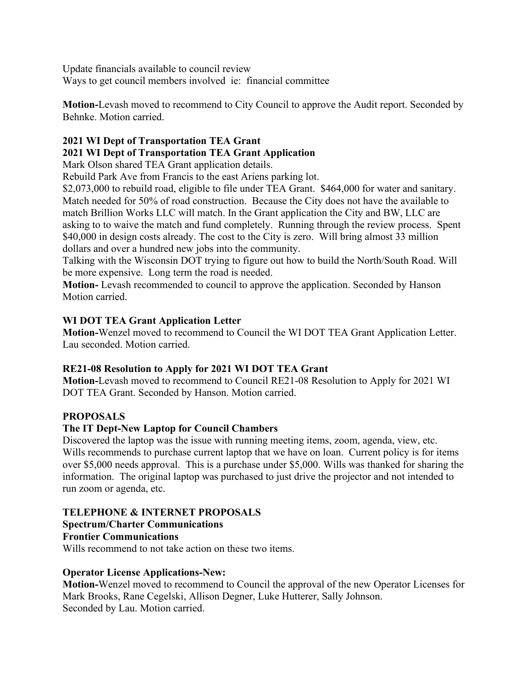Update financials available to council review Ways to get council members involved ie: financial committee

**Motion-**Levash moved to recommend to City Council to approve the Audit report. Seconded by Behnke. Motion carried.

# **2021 WI Dept of Transportation TEA Grant 2021 WI Dept of Transportation TEA Grant Application**

Mark Olson shared TEA Grant application details.

Rebuild Park Ave from Francis to the east Ariens parking lot.

\$2,073,000 to rebuild road, eligible to file under TEA Grant. \$464,000 for water and sanitary. Match needed for 50% of road construction. Because the City does not have the available to match Brillion Works LLC will match. In the Grant application the City and BW, LLC are asking to to waive the match and fund completely. Running through the review process. Spent \$40,000 in design costs already. The cost to the City is zero. Will bring almost 33 million dollars and over a hundred new jobs into the community.

Talking with the Wisconsin DOT trying to figure out how to build the North/South Road. Will be more expensive. Long term the road is needed.

**Motion-** Levash recommended to council to approve the application. Seconded by Hanson Motion carried.

## **WI DOT TEA Grant Application Letter**

**Motion-**Wenzel moved to recommend to Council the WI DOT TEA Grant Application Letter. Lau seconded. Motion carried.

## **RE21-08 Resolution to Apply for 2021 WI DOT TEA Grant**

**Motion-**Levash moved to recommend to Council RE21-08 Resolution to Apply for 2021 WI DOT TEA Grant. Seconded by Hanson. Motion carried.

## **PROPOSALS**

## **The IT Dept-New Laptop for Council Chambers**

Discovered the laptop was the issue with running meeting items, zoom, agenda, view, etc. Wills recommends to purchase current laptop that we have on loan. Current policy is for items over \$5,000 needs approval. This is a purchase under \$5,000. Wills was thanked for sharing the information. The original laptop was purchased to just drive the projector and not intended to run zoom or agenda, etc.

## **TELEPHONE & INTERNET PROPOSALS**

## **Spectrum/Charter Communications**

**Frontier Communications**

Wills recommend to not take action on these two items.

## **Operator License Applications-New:**

**Motion-**Wenzel moved to recommend to Council the approval of the new Operator Licenses for Mark Brooks, Rane Cegelski, Allison Degner, Luke Hutterer, Sally Johnson. Seconded by Lau. Motion carried.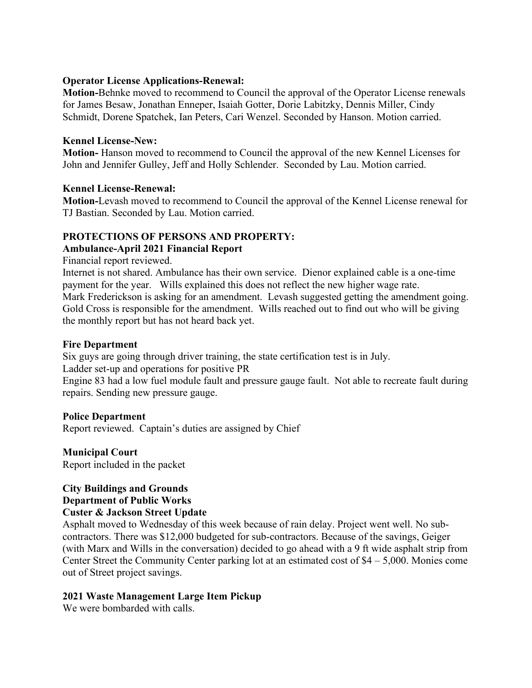#### **Operator License Applications-Renewal:**

**Motion-**Behnke moved to recommend to Council the approval of the Operator License renewals for James Besaw, Jonathan Enneper, Isaiah Gotter, Dorie Labitzky, Dennis Miller, Cindy Schmidt, Dorene Spatchek, Ian Peters, Cari Wenzel. Seconded by Hanson. Motion carried.

#### **Kennel License-New:**

**Motion-** Hanson moved to recommend to Council the approval of the new Kennel Licenses for John and Jennifer Gulley, Jeff and Holly Schlender. Seconded by Lau. Motion carried.

#### **Kennel License-Renewal:**

**Motion-**Levash moved to recommend to Council the approval of the Kennel License renewal for TJ Bastian. Seconded by Lau. Motion carried.

## **PROTECTIONS OF PERSONS AND PROPERTY:**

#### **Ambulance-April 2021 Financial Report**

Financial report reviewed.

Internet is not shared. Ambulance has their own service. Dienor explained cable is a one-time payment for the year. Wills explained this does not reflect the new higher wage rate. Mark Frederickson is asking for an amendment. Levash suggested getting the amendment going. Gold Cross is responsible for the amendment. Wills reached out to find out who will be giving the monthly report but has not heard back yet.

#### **Fire Department**

Six guys are going through driver training, the state certification test is in July. Ladder set-up and operations for positive PR

Engine 83 had a low fuel module fault and pressure gauge fault. Not able to recreate fault during repairs. Sending new pressure gauge.

#### **Police Department**

Report reviewed. Captain's duties are assigned by Chief

**Municipal Court** Report included in the packet

# **City Buildings and Grounds Department of Public Works**

#### **Custer & Jackson Street Update**

Asphalt moved to Wednesday of this week because of rain delay. Project went well. No subcontractors. There was \$12,000 budgeted for sub-contractors. Because of the savings, Geiger (with Marx and Wills in the conversation) decided to go ahead with a 9 ft wide asphalt strip from Center Street the Community Center parking lot at an estimated cost of \$4 – 5,000. Monies come out of Street project savings.

## **2021 Waste Management Large Item Pickup**

We were bombarded with calls.